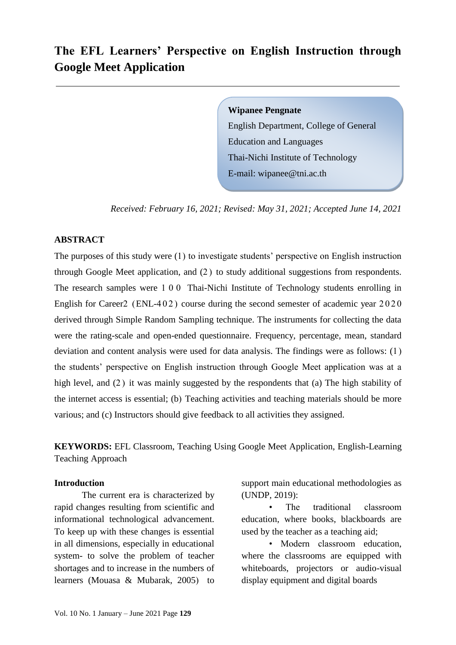# **The EFL Learners' Perspective on English Instruction through Google Meet Application**

**Wipanee Pengnate**

English Department, College of General Education and Languages Thai-Nichi Institute of Technology E-mail: wipanee@tni.ac.th

*Received: February 16, 2021; Revised: May 31, 2021; Accepted June 14, 2021*

### **ABSTRACT**

The purposes of this study were (1) to investigate students' perspective on English instruction through Google Meet application, and (2 ) to study additional suggestions from respondents. The research samples were 1 0 0 Thai-Nichi Institute of Technology students enrolling in English for Career2 (ENL-402) course during the second semester of academic year  $2020$ derived through Simple Random Sampling technique. The instruments for collecting the data were the rating-scale and open-ended questionnaire. Frequency, percentage, mean, standard deviation and content analysis were used for data analysis. The findings were as follows: (1) the students' perspective on English instruction through Google Meet application was at a high level, and (2) it was mainly suggested by the respondents that (a) The high stability of the internet access is essential; (b) Teaching activities and teaching materials should be more various; and (c) Instructors should give feedback to all activities they assigned.

**KEYWORDS:** EFL Classroom, Teaching Using Google Meet Application, English-Learning Teaching Approach

### **Introduction**

The current era is characterized by rapid changes resulting from scientific and informational technological advancement. To keep up with these changes is essential in all dimensions, especially in educational system- to solve the problem of teacher shortages and to increase in the numbers of learners (Mouasa & Mubarak, 2005) to

support main educational methodologies as (UNDP, 2019):

The traditional classroom education, where books, blackboards are used by the teacher as a teaching aid;

• Modern classroom education, where the classrooms are equipped with whiteboards, projectors or audio-visual display equipment and digital boards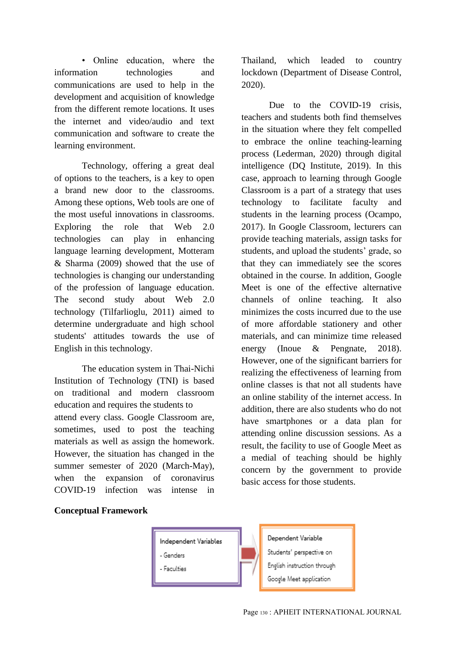• Online education, where the information technologies and communications are used to help in the development and acquisition of knowledge from the different remote locations. It uses the internet and video/audio and text communication and software to create the learning environment.

Technology, offering a great deal of options to the teachers, is a key to open a brand new door to the classrooms. Among these options, Web tools are one of the most useful innovations in classrooms. Exploring the role that Web 2.0 technologies can play in enhancing language learning development, Motteram & Sharma (2009) showed that the use of technologies is changing our understanding of the profession of language education. The second study about Web 2.0 technology (Tilfarlioglu, 2011) aimed to determine undergraduate and high school students' attitudes towards the use of English in this technology.

The education system in Thai-Nichi Institution of Technology (TNI) is based on traditional and modern classroom education and requires the students to attend every class. Google Classroom are, sometimes, used to post the teaching materials as well as assign the homework. However, the situation has changed in the summer semester of 2020 (March-May), when the expansion of coronavirus COVID-19 infection was intense in Thailand, which leaded to country lockdown (Department of Disease Control, 2020).

Due to the COVID-19 crisis. teachers and students both find themselves in the situation where they felt compelled to embrace the online teaching-learning process (Lederman, 2020) through digital intelligence (DQ Institute, 2019). In this case, approach to learning through Google Classroom is a part of a strategy that uses technology to facilitate faculty and students in the learning process (Ocampo, 2017). In Google Classroom, lecturers can provide teaching materials, assign tasks for students, and upload the students' grade, so that they can immediately see the scores obtained in the course. In addition, Google Meet is one of the effective alternative channels of online teaching. It also minimizes the costs incurred due to the use of more affordable stationery and other materials, and can minimize time released energy (Inoue & Pengnate, 2018). However, one of the significant barriers for realizing the effectiveness of learning from online classes is that not all students have an online stability of the internet access. In addition, there are also students who do not have smartphones or a data plan for attending online discussion sessions. As a result, the facility to use of Google Meet as a medial of teaching should be highly concern by the government to provide basic access for those students.

### **Conceptual Framework**

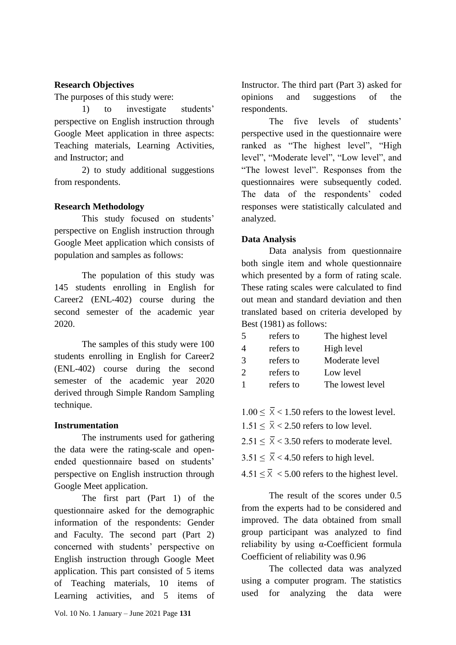# **Research Objectives**

The purposes of this study were:

1) to investigate students' perspective on English instruction through Google Meet application in three aspects: Teaching materials, Learning Activities, and Instructor; and

2) to study additional suggestions from respondents.

# **Research Methodology**

This study focused on students' perspective on English instruction through Google Meet application which consists of population and samples as follows:

The population of this study was 145 students enrolling in English for Career2 (ENL-402) course during the second semester of the academic year 2020.

The samples of this study were 100 students enrolling in English for Career2 (ENL-402) course during the second semester of the academic year 2020 derived through Simple Random Sampling technique.

# **Instrumentation**

The instruments used for gathering the data were the rating-scale and openended questionnaire based on students' perspective on English instruction through Google Meet application.

The first part (Part 1) of the questionnaire asked for the demographic information of the respondents: Gender and Faculty. The second part (Part 2) concerned with students' perspective on English instruction through Google Meet application. This part consisted of 5 items of Teaching materials, 10 items of Learning activities, and 5 items of

The five levels of students' perspective used in the questionnaire were ranked as "The highest level", "High level", "Moderate level", "Low level", and "The lowest level". Responses from the questionnaires were subsequently coded. The data of the respondents' coded responses were statistically calculated and analyzed.

# **Data Analysis**

Data analysis from questionnaire both single item and whole questionnaire which presented by a form of rating scale. These rating scales were calculated to find out mean and standard deviation and then translated based on criteria developed by Best (1981) as follows:

| 5                           | refers to | The highest level |
|-----------------------------|-----------|-------------------|
| $\overline{A}$              | refers to | High level        |
| $\mathcal{R}$               | refers to | Moderate level    |
| $\mathcal{D}_{\mathcal{L}}$ | refers to | Low level         |
|                             | refers to | The lowest level  |

- $1.00 \le \overline{X} < 1.50$  refers to the lowest level.
- $1.51 \leq \overline{X} < 2.50$  refers to low level.
- $2.51 \leq \overline{X} < 3.50$  refers to moderate level.

 $3.51 \leq \overline{X}$  < 4.50 refers to high level.

 $4.51 \leq \overline{\times}$  < 5.00 refers to the highest level.

The result of the scores under 0.5 from the experts had to be considered and improved. The data obtained from small group participant was analyzed to find reliability by using α-Coefficient formula Coefficient of reliability was 0.96

The collected data was analyzed using a computer program. The statistics used for analyzing the data were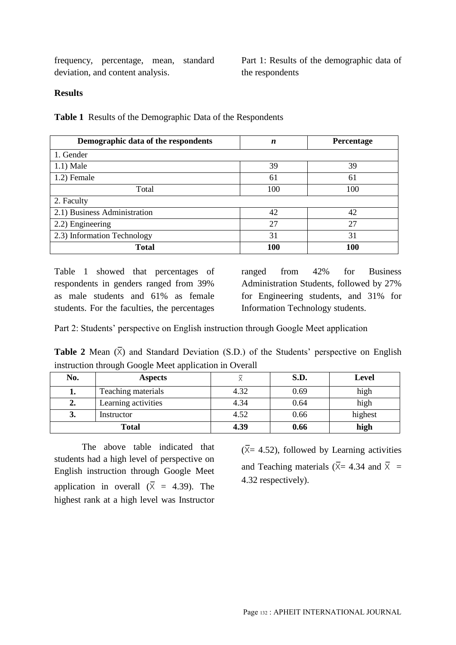frequency, percentage, mean, standard deviation, and content analysis.

Part 1: Results of the demographic data of the respondents

### **Results**

**Table 1** Results of the Demographic Data of the Respondents

| Demographic data of the respondents | n   | Percentage |
|-------------------------------------|-----|------------|
| 1. Gender                           |     |            |
| $1.1)$ Male                         | 39  | 39         |
| 1.2) Female                         | 61  | 61         |
| Total                               | 100 | 100        |
| 2. Faculty                          |     |            |
| 2.1) Business Administration        | 42  | 42         |
| 2.2) Engineering                    | 27  | 27         |
| 2.3) Information Technology         | 31  | 31         |
| <b>Total</b>                        | 100 | <b>100</b> |

Table 1 showed that percentages of respondents in genders ranged from 39% as male students and 61% as female students. For the faculties, the percentages ranged from 42% for Business Administration Students, followed by 27% for Engineering students, and 31% for Information Technology students.

Part 2: Students' perspective on English instruction through Google Meet application

**Table 2** Mean  $(\overline{X})$  and Standard Deviation (S.D.) of the Students' perspective on English instruction through Google Meet application in Overall

| No.          | <b>Aspects</b>      |      | S.D. | Level   |
|--------------|---------------------|------|------|---------|
| ı.           | Teaching materials  | 4.32 | 0.69 | high    |
| 2.           | Learning activities | 4.34 | 0.64 | high    |
| 3.           | Instructor          | 4.52 | 0.66 | highest |
| <b>Total</b> |                     | 4.39 | 0.66 | high    |

The above table indicated that students had a high level of perspective on English instruction through Google Meet application in overall  $(\overline{X} = 4.39)$ . The highest rank at a high level was Instructor

 $(\overline{X}$ = 4.52), followed by Learning activities and Teaching materials ( $\overline{X}$  = 4.34 and  $\overline{X}$  = 4.32 respectively).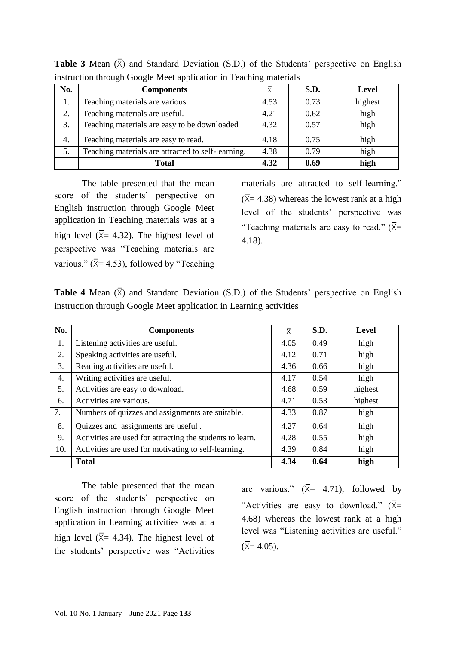| No. | <b>Components</b>                                  | $\bar{\mathsf{x}}$ | S.D. | Level   |
|-----|----------------------------------------------------|--------------------|------|---------|
|     | Teaching materials are various.                    | 4.53               | 0.73 | highest |
| 2.  | Teaching materials are useful.                     | 4.21               | 0.62 | high    |
| 3.  | Teaching materials are easy to be downloaded       | 4.32               | 0.57 | high    |
| 4.  | Teaching materials are easy to read.               | 4.18               | 0.75 | high    |
| 5.  | Teaching materials are attracted to self-learning. | 4.38               | 0.79 | high    |
|     | Total                                              | 4.32               | 0.69 | high    |

**Table 3** Mean  $(\overline{X})$  and Standard Deviation (S.D.) of the Students' perspective on English instruction through Google Meet application in Teaching materials

The table presented that the mean score of the students' perspective on English instruction through Google Meet application in Teaching materials was at a high level ( $\bar{X}$ = 4.32). The highest level of perspective was "Teaching materials are various." ( $\overline{X}$ = 4.53), followed by "Teaching materials are attracted to self-learning."  $(\overline{X}$  = 4.38) whereas the lowest rank at a high level of the students' perspective was "Teaching materials are easy to read."  $(\bar{X}$ = 4.18).

| <b>Table 4</b> Mean $(\overline{X})$ and Standard Deviation (S.D.) of the Students' perspective on English |  |  |
|------------------------------------------------------------------------------------------------------------|--|--|
| instruction through Google Meet application in Learning activities                                         |  |  |

| No. | <b>Components</b>                                         | $\bar{x}$ | S.D. | <b>Level</b> |
|-----|-----------------------------------------------------------|-----------|------|--------------|
| 1.  | Listening activities are useful.                          | 4.05      | 0.49 | high         |
| 2.  | Speaking activities are useful.                           | 4.12      | 0.71 | high         |
| 3.  | Reading activities are useful.                            | 4.36      | 0.66 | high         |
| 4.  | Writing activities are useful.                            | 4.17      | 0.54 | high         |
| 5.  | Activities are easy to download.                          | 4.68      | 0.59 | highest      |
| 6.  | Activities are various.                                   | 4.71      | 0.53 | highest      |
| 7.  | Numbers of quizzes and assignments are suitable.          | 4.33      | 0.87 | high         |
| 8.  | Quizzes and assignments are useful.                       | 4.27      | 0.64 | high         |
| 9.  | Activities are used for attracting the students to learn. | 4.28      | 0.55 | high         |
| 10. | Activities are used for motivating to self-learning.      | 4.39      | 0.84 | high         |
|     | <b>Total</b>                                              | 4.34      | 0.64 | high         |

The table presented that the mean score of the students' perspective on English instruction through Google Meet application in Learning activities was at a high level ( $\bar{X}$ = 4.34). The highest level of the students' perspective was "Activities

are various."  $(\bar{X} = 4.71)$ , followed by "Activities are easy to download."  $(\bar{X}$ = 4.68) whereas the lowest rank at a high level was "Listening activities are useful."  $(\bar{X} = 4.05)$ .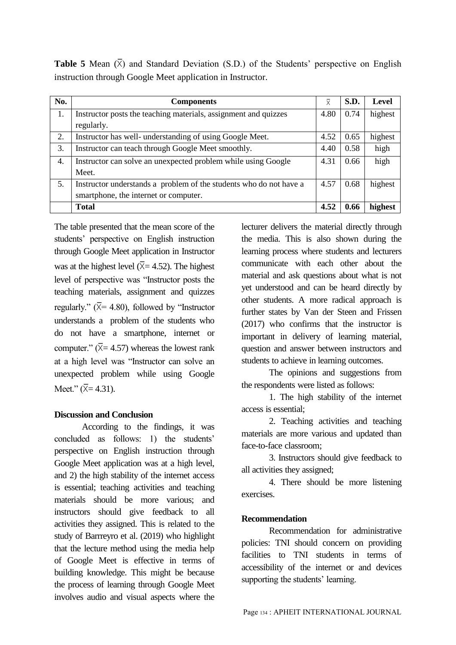**Table 5** Mean  $(\bar{X})$  and Standard Deviation (S.D.) of the Students' perspective on English instruction through Google Meet application in Instructor.

| No. | <b>Components</b>                                                  |      | S.D. | <b>Level</b> |
|-----|--------------------------------------------------------------------|------|------|--------------|
| 1.  | Instructor posts the teaching materials, assignment and quizzes    | 4.80 | 0.74 | highest      |
|     | regularly.                                                         |      |      |              |
| 2.  | Instructor has well- understanding of using Google Meet.           | 4.52 | 0.65 | highest      |
| 3.  | Instructor can teach through Google Meet smoothly.                 | 4.40 | 0.58 | high         |
| 4.  | Instructor can solve an unexpected problem while using Google      | 4.31 | 0.66 | high         |
|     | Meet.                                                              |      |      |              |
| 5.  | Instructor understands a problem of the students who do not have a | 4.57 | 0.68 | highest      |
|     | smartphone, the internet or computer.                              |      |      |              |
|     | <b>Total</b>                                                       | 4.52 | 0.66 | highest      |

The table presented that the mean score of the students' perspective on English instruction through Google Meet application in Instructor was at the highest level ( $\bar{X}$ = 4.52). The highest level of perspective was "Instructor posts the teaching materials, assignment and quizzes regularly."  $(\bar{X} = 4.80)$ , followed by "Instructor" understands a problem of the students who do not have a smartphone, internet or computer."  $(\bar{X} = 4.57)$  whereas the lowest rank at a high level was "Instructor can solve an unexpected problem while using Google Meet." ( $\bar{X}$  = 4.31).

### **Discussion and Conclusion**

According to the findings, it was concluded as follows: 1) the students' perspective on English instruction through Google Meet application was at a high level, and 2) the high stability of the internet access is essential; teaching activities and teaching materials should be more various; and instructors should give feedback to all activities they assigned. This is related to the study of Barrreyro et al. (2019) who highlight that the lecture method using the media help of Google Meet is effective in terms of building knowledge. This might be because the process of learning through Google Meet involves audio and visual aspects where the lecturer delivers the material directly through the media. This is also shown during the learning process where students and lecturers communicate with each other about the material and ask questions about what is not yet understood and can be heard directly by other students. A more radical approach is further states by Van der Steen and Frissen (2017) who confirms that the instructor is important in delivery of learning material, question and answer between instructors and students to achieve in learning outcomes.

The opinions and suggestions from the respondents were listed as follows:

1. The high stability of the internet access is essential;

2. Teaching activities and teaching materials are more various and updated than face-to-face classroom;

3. Instructors should give feedback to all activities they assigned;

4. There should be more listening exercises.

### **Recommendation**

Recommendation for administrative policies: TNI should concern on providing facilities to TNI students in terms of accessibility of the internet or and devices supporting the students' learning.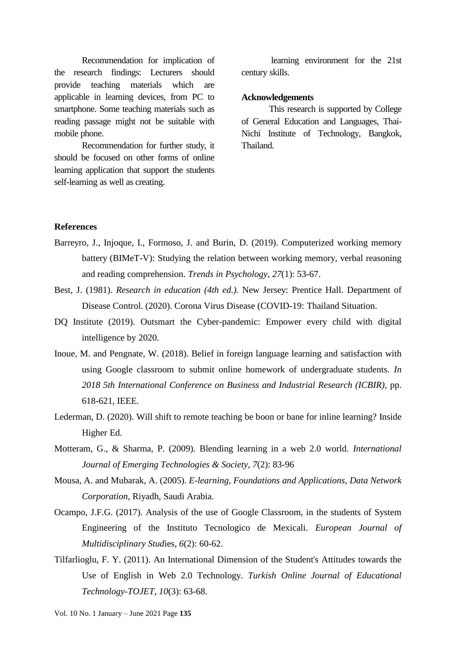Recommendation for implication of the research findings: Lecturers should provide teaching materials which are applicable in learning devices, from PC to smartphone. Some teaching materials such as reading passage might not be suitable with mobile phone.

Recommendation for further study, it should be focused on other forms of online learning application that support the students self-learning as well as creating.

learning environment for the 21st century skills.

#### **Acknowledgements**

This research is supported by College of General Education and Languages, Thai-Nichi Institute of Technology, Bangkok, Thailand.

### **References**

- Barreyro, J., Injoque, I., Formoso, J. and Burin, D. (2019). Computerized working memory battery (BIMeT-V): Studying the relation between working memory, verbal reasoning and reading comprehension. *Trends in Psychology*, *27*(1): 53-67.
- Best, J. (1981). *Research in education (4th ed.).* New Jersey: Prentice Hall. Department of Disease Control. (2020). Corona Virus Disease (COVID-19: Thailand Situation.
- DQ Institute (2019). Outsmart the Cyber-pandemic: Empower every child with digital intelligence by 2020.
- Inoue, M. and Pengnate, W. (2018). Belief in foreign language learning and satisfaction with using Google classroom to submit online homework of undergraduate students. *In 2018 5th International Conference on Business and Industrial Research (ICBIR)*, pp. 618-621, IEEE.
- Lederman, D. (2020). Will shift to remote teaching be boon or bane for inline learning? Inside Higher Ed.
- Motteram, G., & Sharma, P. (2009). Blending learning in a web 2.0 world. *International Journal of Emerging Technologies & Society*, *7*(2): 83-96
- Mousa, A. and Mubarak, A. (2005). *E-learning, Foundations and Applications, Data Network Corporation*, Riyadh, Saudi Arabia.
- Ocampo, J.F.G. (2017). Analysis of the use of Google Classroom, in the students of System Engineering of the Instituto Tecnologico de Mexicali. *European Journal of Multidisciplinary Stud*ies, *6*(2): 60-62.
- Tilfarlioglu, F. Y. (2011). An International Dimension of the Student's Attitudes towards the Use of English in Web 2.0 Technology. *Turkish Online Journal of Educational Technology-TOJET*, *10*(3): 63-68.